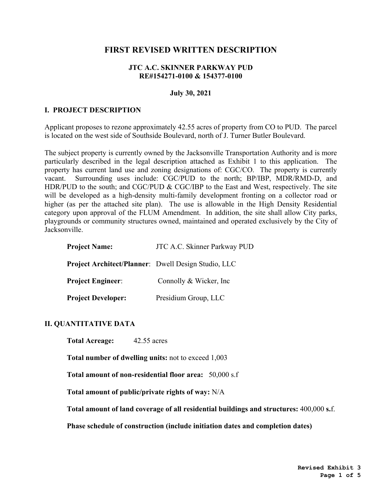# **FIRST REVISED WRITTEN DESCRIPTION**

#### **JTC A.C. SKINNER PARKWAY PUD RE#154271-0100 & 154377-0100**

#### **July 30, 2021**

#### **I. PROJECT DESCRIPTION**

Applicant proposes to rezone approximately 42.55 acres of property from CO to PUD. The parcel is located on the west side of Southside Boulevard, north of J. Turner Butler Boulevard.

The subject property is currently owned by the Jacksonville Transportation Authority and is more particularly described in the legal description attached as Exhibit 1 to this application. The property has current land use and zoning designations of: CGC/CO. The property is currently vacant. Surrounding uses include: CGC/PUD to the north; BP/IBP, MDR/RMD-D, and HDR/PUD to the south; and CGC/PUD & CGC/IBP to the East and West, respectively. The site will be developed as a high-density multi-family development fronting on a collector road or higher (as per the attached site plan). The use is allowable in the High Density Residential category upon approval of the FLUM Amendment. In addition, the site shall allow City parks, playgrounds or community structures owned, maintained and operated exclusively by the City of Jacksonville.

| <b>Project Name:</b>                                       | <b>JTC A.C. Skinner Parkway PUD</b> |
|------------------------------------------------------------|-------------------------------------|
| <b>Project Architect/Planner:</b> Dwell Design Studio, LLC |                                     |
| <b>Project Engineer:</b>                                   | Connolly & Wicker, Inc.             |
| <b>Project Developer:</b>                                  | Presidium Group, LLC                |

## **II. QUANTITATIVE DATA**

 **Total Acreage:** 42.55 acres

**Total number of dwelling units:** not to exceed 1,003

**Total amount of non-residential floor area:** 50,000 s.f

**Total amount of public/private rights of way:** N/A

**Total amount of land coverage of all residential buildings and structures:** 400,000 **s.**f.

**Phase schedule of construction (include initiation dates and completion dates)**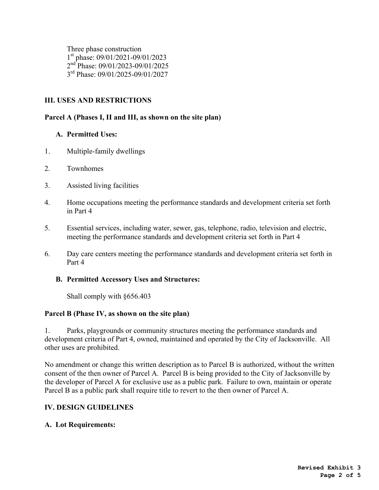Three phase construction 1st phase: 09/01/2021-09/01/2023 2<sup>nd</sup> Phase: 09/01/2023-09/01/2025 3<sup>rd</sup> Phase: 09/01/2025-09/01/2027

# **III. USES AND RESTRICTIONS**

#### **Parcel A (Phases I, II and III, as shown on the site plan)**

#### **A. Permitted Uses:**

- 1. Multiple-family dwellings
- 2. Townhomes
- 3. Assisted living facilities
- 4. Home occupations meeting the performance standards and development criteria set forth in Part 4
- 5. Essential services, including water, sewer, gas, telephone, radio, television and electric, meeting the performance standards and development criteria set forth in Part 4
- 6. Day care centers meeting the performance standards and development criteria set forth in Part 4

#### **B. Permitted Accessory Uses and Structures:**

Shall comply with §656.403

## **Parcel B (Phase IV, as shown on the site plan)**

1. Parks, playgrounds or community structures meeting the performance standards and development criteria of Part 4, owned, maintained and operated by the City of Jacksonville. All other uses are prohibited.

No amendment or change this written description as to Parcel B is authorized, without the written consent of the then owner of Parcel A. Parcel B is being provided to the City of Jacksonville by the developer of Parcel A for exclusive use as a public park. Failure to own, maintain or operate Parcel B as a public park shall require title to revert to the then owner of Parcel A.

#### **IV. DESIGN GUIDELINES**

#### **A. Lot Requirements:**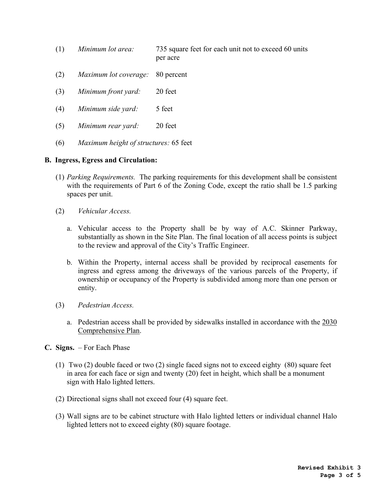- (1) *Minimum lot area:* 735 square feet for each unit not to exceed 60 units per acre
- (2) *Maximum lot coverage:* 80 percent
- (3) *Minimum front yard:* 20 feet
- (4) *Minimum side yard:* 5 feet
- (5) *Minimum rear yard:* 20 feet
- (6) *Maximum height of structures:* 65 feet

## **B. Ingress, Egress and Circulation:**

- (1) *Parking Requirements.* The parking requirements for this development shall be consistent with the requirements of Part 6 of the Zoning Code, except the ratio shall be 1.5 parking spaces per unit.
- (2) *Vehicular Access.*
	- a. Vehicular access to the Property shall be by way of A.C. Skinner Parkway, substantially as shown in the Site Plan. The final location of all access points is subject to the review and approval of the City's Traffic Engineer.
	- b. Within the Property, internal access shall be provided by reciprocal easements for ingress and egress among the driveways of the various parcels of the Property, if ownership or occupancy of the Property is subdivided among more than one person or entity.
- (3) *Pedestrian Access.*
	- a. Pedestrian access shall be provided by sidewalks installed in accordance with the 2030 Comprehensive Plan.
- **C. Signs.** For Each Phase
	- (1) Two (2) double faced or two (2) single faced signs not to exceed eighty (80) square feet in area for each face or sign and twenty (20) feet in height, which shall be a monument sign with Halo lighted letters.
	- (2) Directional signs shall not exceed four (4) square feet.
	- (3) Wall signs are to be cabinet structure with Halo lighted letters or individual channel Halo lighted letters not to exceed eighty (80) square footage.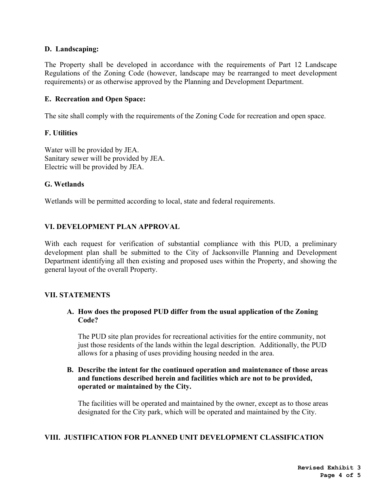## **D. Landscaping:**

The Property shall be developed in accordance with the requirements of Part 12 Landscape Regulations of the Zoning Code (however, landscape may be rearranged to meet development requirements) or as otherwise approved by the Planning and Development Department.

## **E. Recreation and Open Space:**

The site shall comply with the requirements of the Zoning Code for recreation and open space.

## **F. Utilities**

Water will be provided by JEA. Sanitary sewer will be provided by JEA. Electric will be provided by JEA.

## **G. Wetlands**

Wetlands will be permitted according to local, state and federal requirements.

## **VI. DEVELOPMENT PLAN APPROVAL**

With each request for verification of substantial compliance with this PUD, a preliminary development plan shall be submitted to the City of Jacksonville Planning and Development Department identifying all then existing and proposed uses within the Property, and showing the general layout of the overall Property.

## **VII. STATEMENTS**

## **A. How does the proposed PUD differ from the usual application of the Zoning Code?**

The PUD site plan provides for recreational activities for the entire community, not just those residents of the lands within the legal description. Additionally, the PUD allows for a phasing of uses providing housing needed in the area.

## **B. Describe the intent for the continued operation and maintenance of those areas and functions described herein and facilities which are not to be provided, operated or maintained by the City.**

The facilities will be operated and maintained by the owner, except as to those areas designated for the City park, which will be operated and maintained by the City.

# **VIII. JUSTIFICATION FOR PLANNED UNIT DEVELOPMENT CLASSIFICATION**